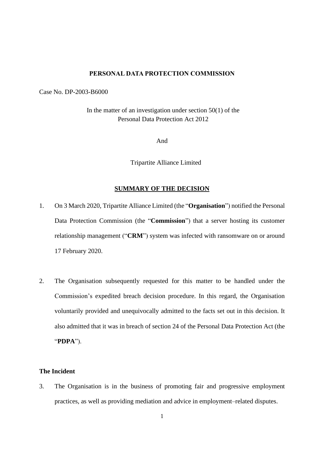#### **PERSONAL DATA PROTECTION COMMISSION**

Case No. DP-2003-B6000

In the matter of an investigation under section  $50(1)$  of the Personal Data Protection Act 2012

And

Tripartite Alliance Limited

## **SUMMARY OF THE DECISION**

- 1. On 3 March 2020, Tripartite Alliance Limited (the "**Organisation**") notified the Personal Data Protection Commission (the "**Commission**") that a server hosting its customer relationship management ("**CRM**") system was infected with ransomware on or around 17 February 2020.
- 2. The Organisation subsequently requested for this matter to be handled under the Commission's expedited breach decision procedure. In this regard, the Organisation voluntarily provided and unequivocally admitted to the facts set out in this decision. It also admitted that it was in breach of section 24 of the Personal Data Protection Act (the "**PDPA**").

## **The Incident**

3. The Organisation is in the business of promoting fair and progressive employment practices, as well as providing mediation and advice in employment–related disputes.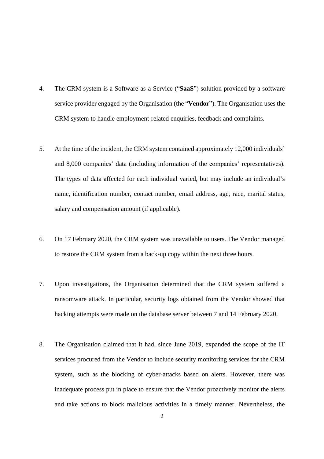- 4. The CRM system is a Software-as-a-Service ("**SaaS**") solution provided by a software service provider engaged by the Organisation (the "**Vendor**"). The Organisation uses the CRM system to handle employment-related enquiries, feedback and complaints.
- 5. At the time of the incident, the CRM system contained approximately 12,000 individuals' and 8,000 companies' data (including information of the companies' representatives). The types of data affected for each individual varied, but may include an individual's name, identification number, contact number, email address, age, race, marital status, salary and compensation amount (if applicable).
- 6. On 17 February 2020, the CRM system was unavailable to users. The Vendor managed to restore the CRM system from a back-up copy within the next three hours.
- 7. Upon investigations, the Organisation determined that the CRM system suffered a ransomware attack. In particular, security logs obtained from the Vendor showed that hacking attempts were made on the database server between 7 and 14 February 2020.
- 8. The Organisation claimed that it had, since June 2019, expanded the scope of the IT services procured from the Vendor to include security monitoring services for the CRM system, such as the blocking of cyber-attacks based on alerts. However, there was inadequate process put in place to ensure that the Vendor proactively monitor the alerts and take actions to block malicious activities in a timely manner. Nevertheless, the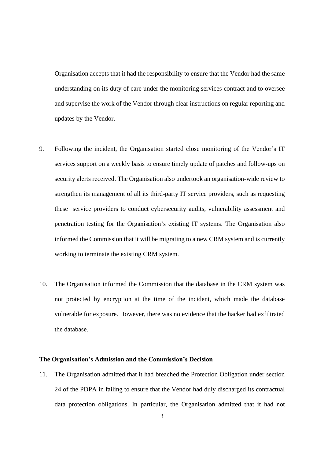Organisation accepts that it had the responsibility to ensure that the Vendor had the same understanding on its duty of care under the monitoring services contract and to oversee and supervise the work of the Vendor through clear instructions on regular reporting and updates by the Vendor.

- 9. Following the incident, the Organisation started close monitoring of the Vendor's IT services support on a weekly basis to ensure timely update of patches and follow-ups on security alerts received. The Organisation also undertook an organisation-wide review to strengthen its management of all its third-party IT service providers, such as requesting these service providers to conduct cybersecurity audits, vulnerability assessment and penetration testing for the Organisation's existing IT systems. The Organisation also informed the Commission that it will be migrating to a new CRM system and is currently working to terminate the existing CRM system.
- 10. The Organisation informed the Commission that the database in the CRM system was not protected by encryption at the time of the incident, which made the database vulnerable for exposure. However, there was no evidence that the hacker had exfiltrated the database.

#### **The Organisation's Admission and the Commission's Decision**

11. The Organisation admitted that it had breached the Protection Obligation under section 24 of the PDPA in failing to ensure that the Vendor had duly discharged its contractual data protection obligations. In particular, the Organisation admitted that it had not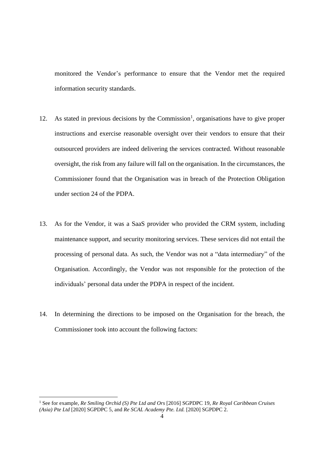monitored the Vendor's performance to ensure that the Vendor met the required information security standards.

- 12. As stated in previous decisions by the Commission<sup>1</sup>, organisations have to give proper instructions and exercise reasonable oversight over their vendors to ensure that their outsourced providers are indeed delivering the services contracted. Without reasonable oversight, the risk from any failure will fall on the organisation. In the circumstances, the Commissioner found that the Organisation was in breach of the Protection Obligation under section 24 of the PDPA.
- 13. As for the Vendor, it was a SaaS provider who provided the CRM system, including maintenance support, and security monitoring services. These services did not entail the processing of personal data. As such, the Vendor was not a "data intermediary" of the Organisation. Accordingly, the Vendor was not responsible for the protection of the individuals' personal data under the PDPA in respect of the incident.
- 14. In determining the directions to be imposed on the Organisation for the breach, the Commissioner took into account the following factors:

<sup>1</sup> See for example, *Re Smiling Orchid (S) Pte Ltd and Ors* [2016] SGPDPC 19, *Re Royal Caribbean Cruises (Asia) Pte Ltd* [2020] SGPDPC 5*,* and *Re SCAL Academy Pte. Ltd.* [2020] SGPDPC 2.